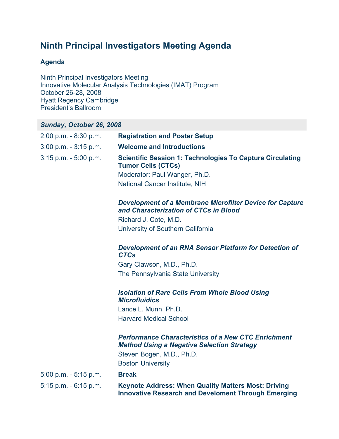# **Ninth Principal Investigators Meeting Agenda**

# **Agenda**

Ninth Principal Investigators Meeting Innovative Molecular Analysis Technologies (IMAT) Program October 26-28, 2008 Hyatt Regency Cambridge President's Ballroom

# *Sunday, October 26, 2008*

| $2:00$ p.m. $-8:30$ p.m. | <b>Registration and Poster Setup</b>                                                                                     |
|--------------------------|--------------------------------------------------------------------------------------------------------------------------|
| $3:00$ p.m. $-3:15$ p.m. | <b>Welcome and Introductions</b>                                                                                         |
| $3:15$ p.m. $-5:00$ p.m. | <b>Scientific Session 1: Technologies To Capture Circulating</b><br><b>Tumor Cells (CTCs)</b>                            |
|                          | Moderator: Paul Wanger, Ph.D.                                                                                            |
|                          | National Cancer Institute, NIH                                                                                           |
|                          | <b>Development of a Membrane Microfilter Device for Capture</b><br>and Characterization of CTCs in Blood                 |
|                          | Richard J. Cote, M.D.                                                                                                    |
|                          | University of Southern California                                                                                        |
|                          | Development of an RNA Sensor Platform for Detection of<br><b>CTCs</b>                                                    |
|                          | Gary Clawson, M.D., Ph.D.                                                                                                |
|                          | The Pennsylvania State University                                                                                        |
|                          | <b>Isolation of Rare Cells From Whole Blood Using</b><br><b>Microfluidics</b>                                            |
|                          | Lance L. Munn, Ph.D.                                                                                                     |
|                          | <b>Harvard Medical School</b>                                                                                            |
|                          | <b>Performance Characteristics of a New CTC Enrichment</b><br><b>Method Using a Negative Selection Strategy</b>          |
|                          | Steven Bogen, M.D., Ph.D.                                                                                                |
|                          | <b>Boston University</b>                                                                                                 |
| $5:00$ p.m. $-5:15$ p.m. | <b>Break</b>                                                                                                             |
| $5:15$ p.m. $-6:15$ p.m. | <b>Keynote Address: When Quality Matters Most: Driving</b><br><b>Innovative Research and Develoment Through Emerging</b> |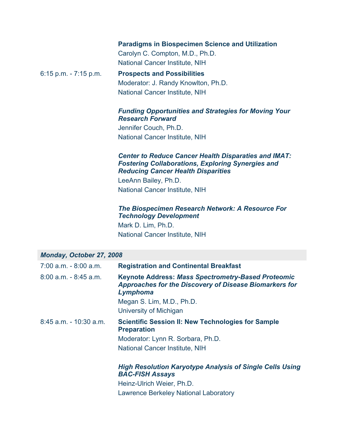|                          | <b>Paradigms in Biospecimen Science and Utilization</b> |
|--------------------------|---------------------------------------------------------|
|                          | Carolyn C. Compton, M.D., Ph.D.                         |
|                          | <b>National Cancer Institute, NIH</b>                   |
| $6:15$ p.m. $-7:15$ p.m. | <b>Prospects and Possibilities</b>                      |
|                          | Moderator: J. Randy Knowlton, Ph.D.                     |
|                          | <b>National Cancer Institute, NIH</b>                   |

#### *Funding Opportunities and Strategies for Moving Your Research Forward*

Jennifer Couch, Ph.D. National Cancer Institute, NIH

#### *Center to Reduce Cancer Health Disparaties and IMAT: Fostering Collaborations, Exploring Synergies and Reducing Cancer Health Disparities*

LeeAnn Bailey, Ph.D. National Cancer Institute, NIH

#### *The Biospecimen Research Network: A Resource For Technology Development*

Mark D. Lim, Ph.D. National Cancer Institute, NIH

#### *Monday, October 27, 2008*

| $7:00$ a.m. $-8:00$ a.m. | <b>Registration and Continental Breakfast</b>                                                                                          |
|--------------------------|----------------------------------------------------------------------------------------------------------------------------------------|
| $8:00$ a.m. $-8:45$ a.m. | <b>Keynote Address: Mass Spectrometry-Based Proteomic</b><br><b>Approaches for the Discovery of Disease Biomarkers for</b><br>Lymphoma |
|                          | Megan S. Lim, M.D., Ph.D.                                                                                                              |
|                          | University of Michigan                                                                                                                 |
| $8:45$ a.m. - 10:30 a.m. | <b>Scientific Session II: New Technologies for Sample</b><br><b>Preparation</b>                                                        |
|                          | Moderator: Lynn R. Sorbara, Ph.D.                                                                                                      |
|                          | <b>National Cancer Institute, NIH</b>                                                                                                  |
|                          | <b>High Resolution Karyotype Analysis of Single Cells Using</b><br><b>BAC-FISH Assays</b>                                              |

Heinz-Ulrich Weier, Ph.D. Lawrence Berkeley National Laboratory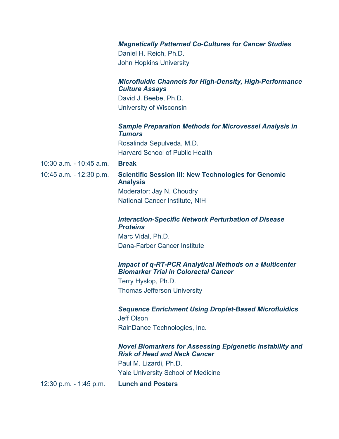#### *Magnetically Patterned Co-Cultures for Cancer Studies*

Daniel H. Reich, Ph.D. John Hopkins University

#### *Microfluidic Channels for High-Density, High-Performance Culture Assays*

David J. Beebe, Ph.D. University of Wisconsin

# *Sample Preparation Methods for Microvessel Analysis in Tumors*

Rosalinda Sepulveda, M.D. Harvard School of Public Health

10:30 a.m. - 10:45 a.m. **Break**

# 10:45 a.m. - 12:30 p.m. **Scientific Session III: New Technologies for Genomic Analysis**

Moderator: Jay N. Choudry National Cancer Institute, NIH

#### *Interaction-Specific Network Perturbation of Disease Proteins*

Marc Vidal, Ph.D. Dana-Farber Cancer Institute

#### *Impact of q-RT-PCR Analytical Methods on a Multicenter Biomarker Trial in Colorectal Cancer*

Terry Hyslop, Ph.D. Thomas Jefferson University

#### *Sequence Enrichment Using Droplet-Based Microfluidics*

Jeff Olson RainDance Technologies, Inc.

#### *Novel Biomarkers for Assessing Epigenetic Instability and Risk of Head and Neck Cancer*

Paul M. Lizardi, Ph.D. Yale University School of Medicine

12:30 p.m. - 1:45 p.m. **Lunch and Posters**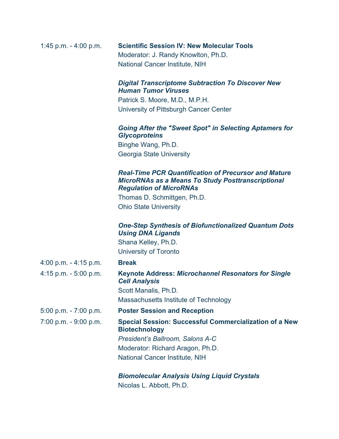| 1:45 p.m. $-$ 4:00 p.m. | <b>Scientific Session IV: New Molecular Tools</b> |
|-------------------------|---------------------------------------------------|
|                         | Moderator: J. Randy Knowlton, Ph.D.               |
|                         | National Cancer Institute, NIH                    |

#### *Digital Transcriptome Subtraction To Discover New Human Tumor Viruses*

Patrick S. Moore, M.D., M.P.H. University of Pittsburgh Cancer Center

#### *Going After the "Sweet Spot" in Selecting Aptamers for Glycoproteins*

Binghe Wang, Ph.D. Georgia State University

#### *Real-Time PCR Quantification of Precursor and Mature MicroRNAs as a Means To Study Posttranscriptional Regulation of MicroRNAs*

Thomas D. Schmittgen, Ph.D. Ohio State University

#### *One-Step Synthesis of Biofunctionalized Quantum Dots Using DNA Ligands* Shana Kelley, Ph.D.

University of Toronto

#### 4:00 p.m. - 4:15 p.m. **Break**

4:15 p.m. - 5:00 p.m. **Keynote Address:** *Microchannel Resonators for Single Cell Analysis* Scott Manalis, Ph.D. Massachusetts Institute of Technology 5:00 p.m. - 7:00 p.m. **Poster Session and Reception** 7:00 p.m. - 9:00 p.m. **Special Session: Successful Commercialization of a New Biotechnology** *President's Ballroom, Salons A-C* Moderator: Richard Aragon, Ph.D. National Cancer Institute, NIH

#### *Biomolecular Analysis Using Liquid Crystals* Nicolas L. Abbott, Ph.D.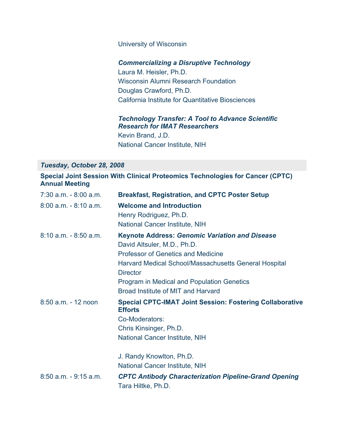#### University of Wisconsin

#### *Commercializing a Disruptive Technology*

Laura M. Heisler, Ph.D. Wisconsin Alumni Research Foundation Douglas Crawford, Ph.D. California Institute for Quantitative Biosciences

#### *Technology Transfer: A Tool to Advance Scientific Research for IMAT Researchers*

Kevin Brand, J.D. National Cancer Institute, NIH

#### *Tuesday, October 28, 2008*

### **Special Joint Session With Clinical Proteomics Technologies for Cancer (CPTC) Annual Meeting**

| $7:30$ a.m. $-8:00$ a.m. | <b>Breakfast, Registration, and CPTC Poster Setup</b>                                                                                                                                                                                                                                                    |
|--------------------------|----------------------------------------------------------------------------------------------------------------------------------------------------------------------------------------------------------------------------------------------------------------------------------------------------------|
| $8:00$ a.m. $-8:10$ a.m. | <b>Welcome and Introduction</b><br>Henry Rodriguez, Ph.D.<br>National Cancer Institute, NIH                                                                                                                                                                                                              |
| $8:10$ a.m. $-8:50$ a.m. | <b>Keynote Address: Genomic Variation and Disease</b><br>David Altsuler, M.D., Ph.D.<br><b>Professor of Genetics and Medicine</b><br>Harvard Medical School/Massachusetts General Hospital<br><b>Director</b><br><b>Program in Medical and Population Genetics</b><br>Broad Institute of MIT and Harvard |
| $8:50$ a.m. - 12 noon    | <b>Special CPTC-IMAT Joint Session: Fostering Collaborative</b><br><b>Efforts</b><br>Co-Moderators:<br>Chris Kinsinger, Ph.D.<br><b>National Cancer Institute, NIH</b><br>J. Randy Knowlton, Ph.D.<br><b>National Cancer Institute, NIH</b>                                                              |
| 8:50 a.m. - 9:15 a.m.    | <b>CPTC Antibody Characterization Pipeline-Grand Opening</b><br>Tara Hiltke, Ph.D.                                                                                                                                                                                                                       |